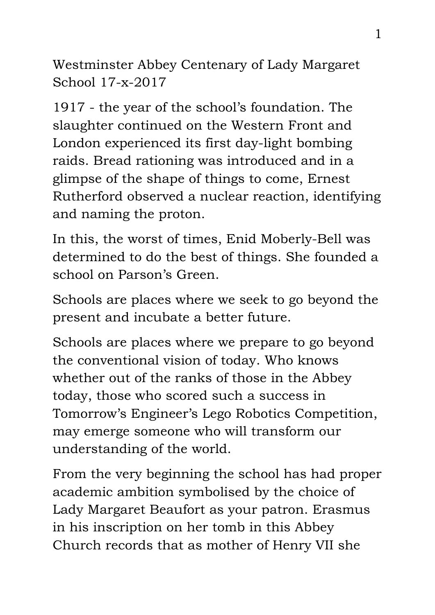Westminster Abbey Centenary of Lady Margaret School 17-x-2017

1917 - the year of the school's foundation. The slaughter continued on the Western Front and London experienced its first day-light bombing raids. Bread rationing was introduced and in a glimpse of the shape of things to come, Ernest Rutherford observed a nuclear reaction, identifying and naming the proton.

In this, the worst of times, Enid Moberly-Bell was determined to do the best of things. She founded a school on Parson's Green.

Schools are places where we seek to go beyond the present and incubate a better future.

Schools are places where we prepare to go beyond the conventional vision of today. Who knows whether out of the ranks of those in the Abbey today, those who scored such a success in Tomorrow's Engineer's Lego Robotics Competition, may emerge someone who will transform our understanding of the world.

From the very beginning the school has had proper academic ambition symbolised by the choice of Lady Margaret Beaufort as your patron. Erasmus in his inscription on her tomb in this Abbey Church records that as mother of Henry VII she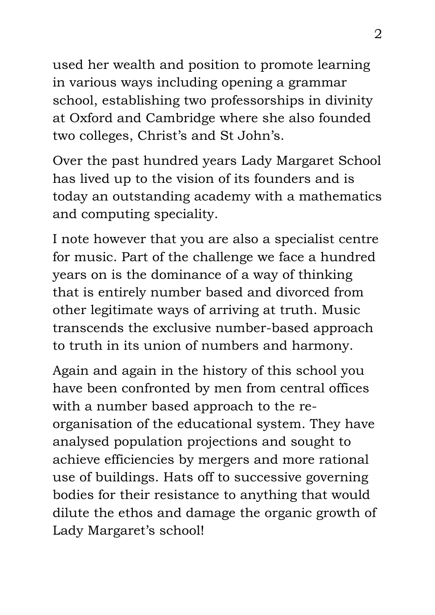used her wealth and position to promote learning in various ways including opening a grammar school, establishing two professorships in divinity at Oxford and Cambridge where she also founded two colleges, Christ's and St John's.

Over the past hundred years Lady Margaret School has lived up to the vision of its founders and is today an outstanding academy with a mathematics and computing speciality.

I note however that you are also a specialist centre for music. Part of the challenge we face a hundred years on is the dominance of a way of thinking that is entirely number based and divorced from other legitimate ways of arriving at truth. Music transcends the exclusive number-based approach to truth in its union of numbers and harmony.

Again and again in the history of this school you have been confronted by men from central offices with a number based approach to the reorganisation of the educational system. They have analysed population projections and sought to achieve efficiencies by mergers and more rational use of buildings. Hats off to successive governing bodies for their resistance to anything that would dilute the ethos and damage the organic growth of Lady Margaret's school!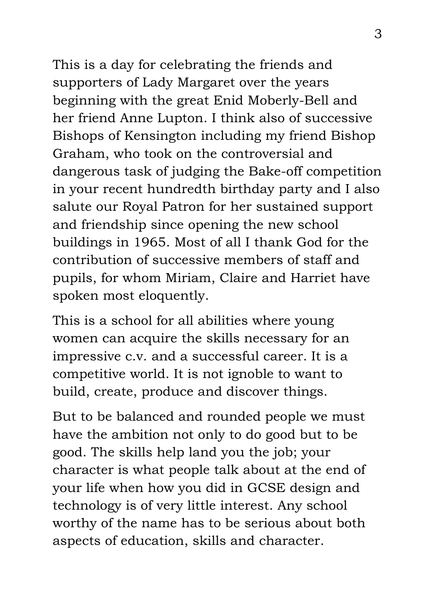This is a day for celebrating the friends and supporters of Lady Margaret over the years beginning with the great Enid Moberly-Bell and her friend Anne Lupton. I think also of successive Bishops of Kensington including my friend Bishop Graham, who took on the controversial and dangerous task of judging the Bake-off competition in your recent hundredth birthday party and I also salute our Royal Patron for her sustained support and friendship since opening the new school buildings in 1965. Most of all I thank God for the contribution of successive members of staff and pupils, for whom Miriam, Claire and Harriet have spoken most eloquently.

This is a school for all abilities where young women can acquire the skills necessary for an impressive c.v. and a successful career. It is a competitive world. It is not ignoble to want to build, create, produce and discover things.

But to be balanced and rounded people we must have the ambition not only to do good but to be good. The skills help land you the job; your character is what people talk about at the end of your life when how you did in GCSE design and technology is of very little interest. Any school worthy of the name has to be serious about both aspects of education, skills and character.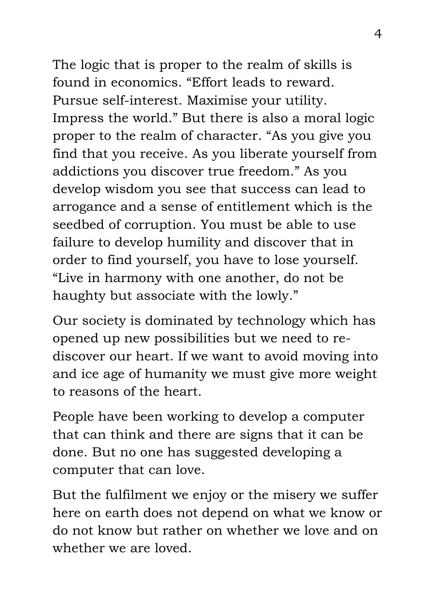The logic that is proper to the realm of skills is found in economics. "Effort leads to reward. Pursue self-interest. Maximise your utility. Impress the world." But there is also a moral logic proper to the realm of character. "As you give you find that you receive. As you liberate yourself from addictions you discover true freedom." As you develop wisdom you see that success can lead to arrogance and a sense of entitlement which is the seedbed of corruption. You must be able to use failure to develop humility and discover that in order to find yourself, you have to lose yourself. "Live in harmony with one another, do not be haughty but associate with the lowly."

Our society is dominated by technology which has opened up new possibilities but we need to rediscover our heart. If we want to avoid moving into and ice age of humanity we must give more weight to reasons of the heart.

People have been working to develop a computer that can think and there are signs that it can be done. But no one has suggested developing a computer that can love.

But the fulfilment we enjoy or the misery we suffer here on earth does not depend on what we know or do not know but rather on whether we love and on whether we are loved.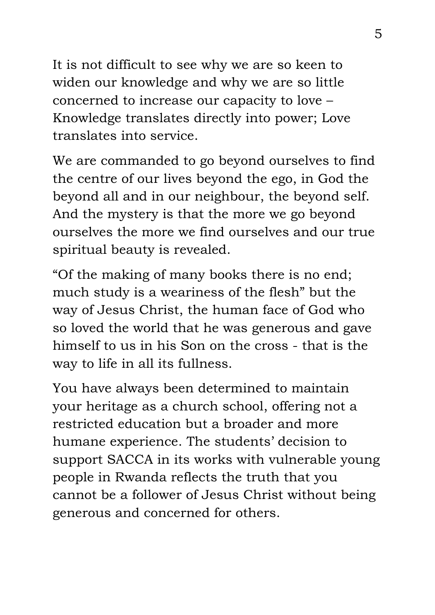It is not difficult to see why we are so keen to widen our knowledge and why we are so little concerned to increase our capacity to love – Knowledge translates directly into power; Love translates into service.

We are commanded to go beyond ourselves to find the centre of our lives beyond the ego, in God the beyond all and in our neighbour, the beyond self. And the mystery is that the more we go beyond ourselves the more we find ourselves and our true spiritual beauty is revealed.

"Of the making of many books there is no end; much study is a weariness of the flesh" but the way of Jesus Christ, the human face of God who so loved the world that he was generous and gave himself to us in his Son on the cross - that is the way to life in all its fullness.

You have always been determined to maintain your heritage as a church school, offering not a restricted education but a broader and more humane experience. The students' decision to support SACCA in its works with vulnerable young people in Rwanda reflects the truth that you cannot be a follower of Jesus Christ without being generous and concerned for others.